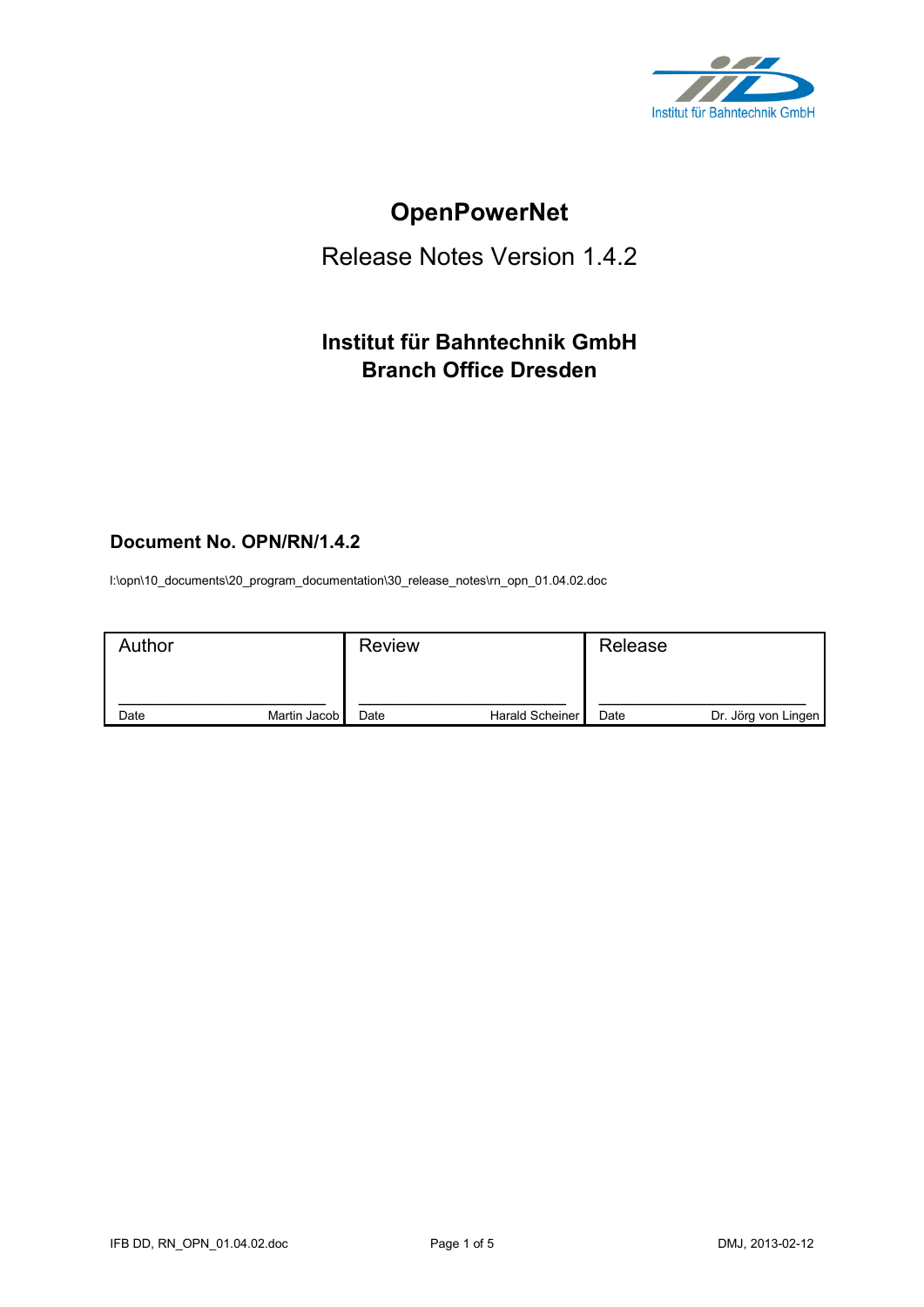

# **OpenPowerNet**

## Release Notes Version 1.4.2

## **Institut für Bahntechnik GmbH Branch Office Dresden**

## **Document No. OPN/RN/1.4.2**

l:\opn\10\_documents\20\_program\_documentation\30\_release\_notes\rn\_opn\_01.04.02.doc

| Author |              | <b>Review</b> |                 | Release |                     |
|--------|--------------|---------------|-----------------|---------|---------------------|
| Date   | Martin Jacob | Date          | Harald Scheiner | Date    | Dr. Jörg von Lingen |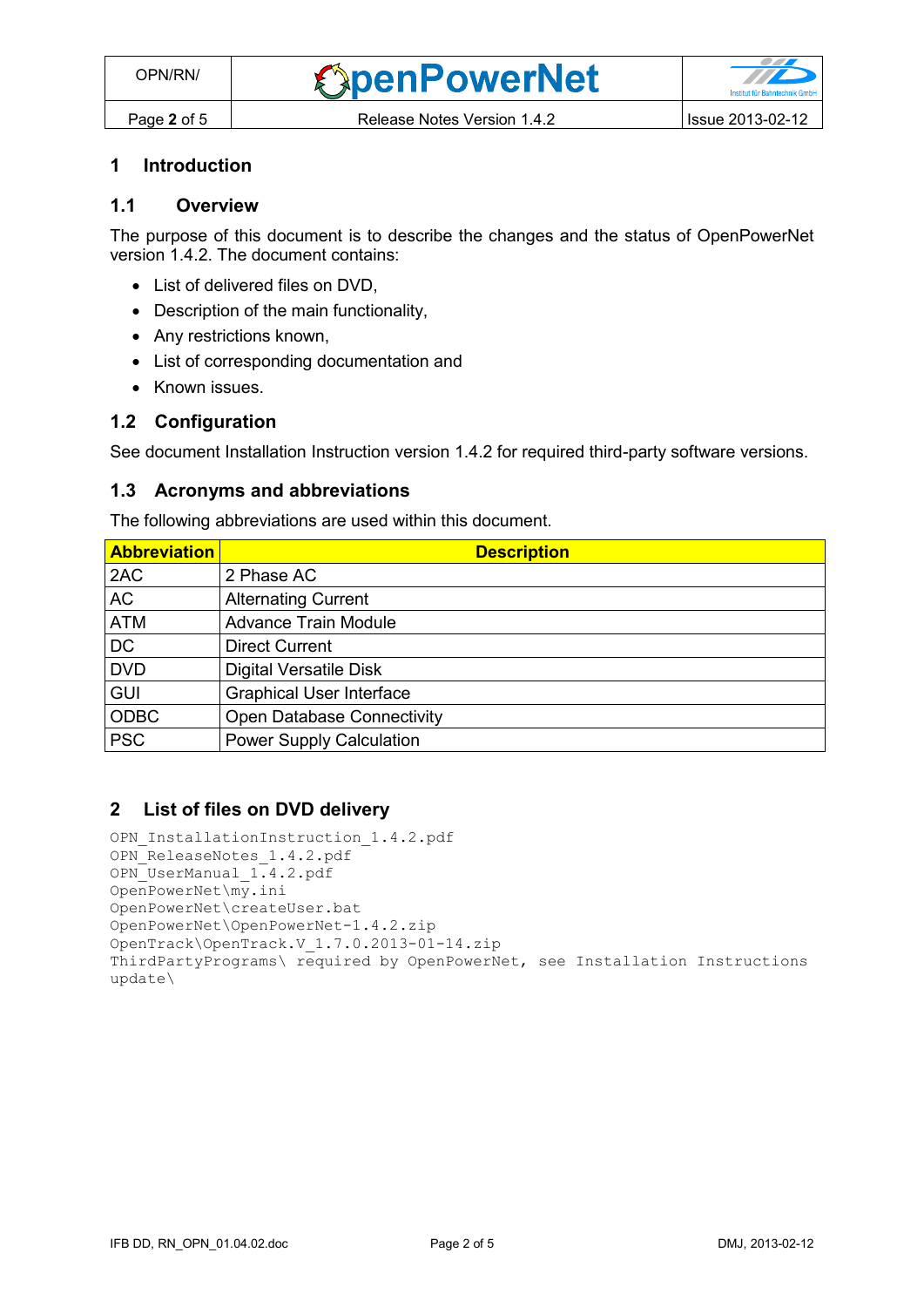## **1 Introduction**

#### **1.1 Overview**

The purpose of this document is to describe the changes and the status of OpenPowerNet version 1.4.2. The document contains:

- List of delivered files on DVD,
- Description of the main functionality,
- Any restrictions known,
- List of corresponding documentation and
- Known issues.

## **1.2 Configuration**

See document Installation Instruction version 1.4.2 for required third-party software versions.

#### **1.3 Acronyms and abbreviations**

The following abbreviations are used within this document.

| <b>Abbreviation</b> | <b>Description</b>                |
|---------------------|-----------------------------------|
| 2AC                 | 2 Phase AC                        |
| <b>AC</b>           | <b>Alternating Current</b>        |
| <b>ATM</b>          | <b>Advance Train Module</b>       |
| <b>DC</b>           | <b>Direct Current</b>             |
| <b>DVD</b>          | <b>Digital Versatile Disk</b>     |
| <b>GUI</b>          | <b>Graphical User Interface</b>   |
| <b>ODBC</b>         | <b>Open Database Connectivity</b> |
| <b>PSC</b>          | <b>Power Supply Calculation</b>   |

## **2 List of files on DVD delivery**

```
OPN InstallationInstruction 1.4.2.pdf
OPN ReleaseNotes 1.4.2.pdf
OPN_UserManual_1.4.2.pdf
OpenPowerNet\my.ini
OpenPowerNet\createUser.bat
OpenPowerNet\OpenPowerNet-1.4.2.zip
OpenTrack\OpenTrack.V_1.7.0.2013-01-14.zip
ThirdPartyPrograms\ required by OpenPowerNet, see Installation Instructions
update\
```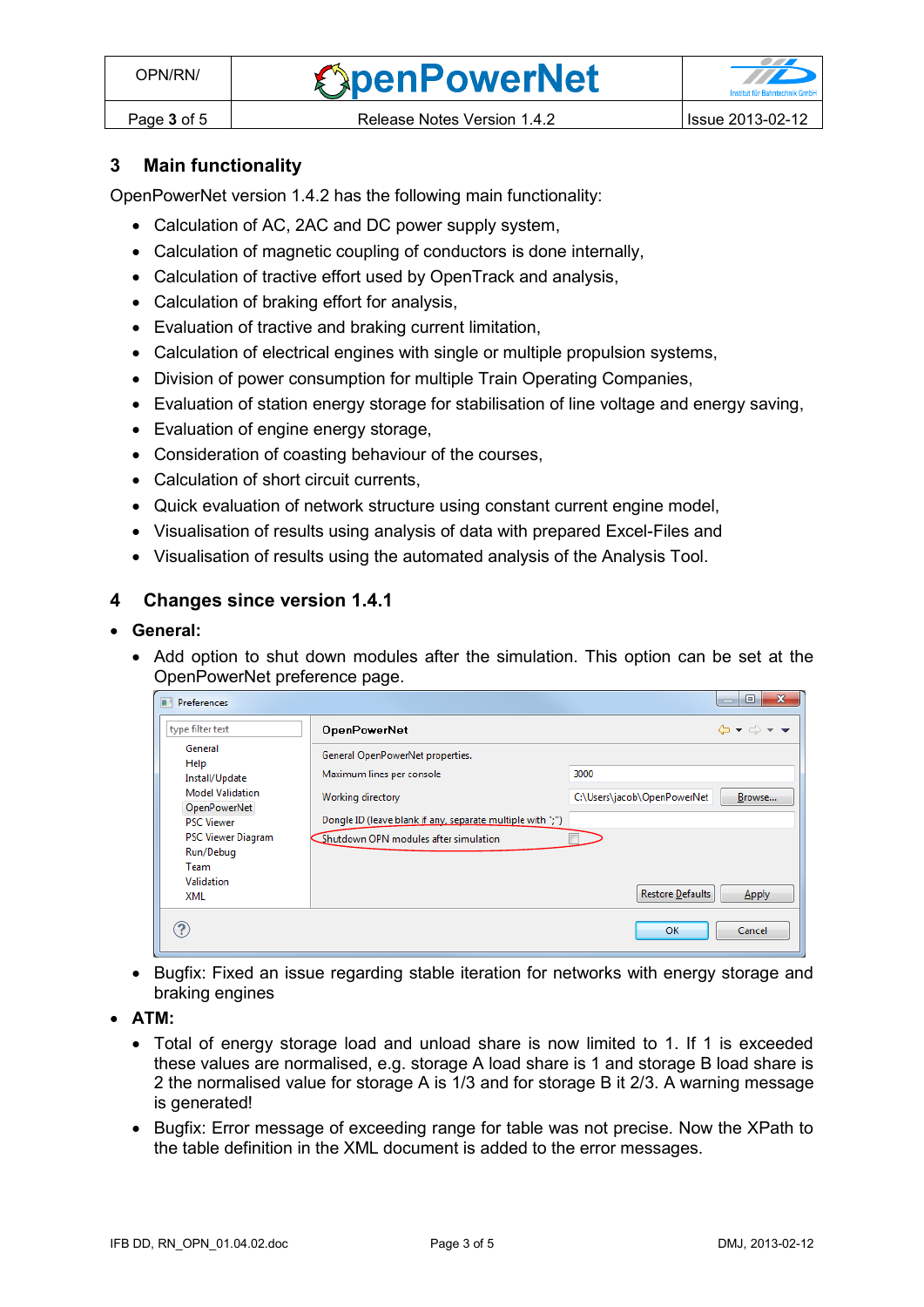## **3 Main functionality**

OpenPowerNet version 1.4.2 has the following main functionality:

- Calculation of AC, 2AC and DC power supply system,
- Calculation of magnetic coupling of conductors is done internally,
- Calculation of tractive effort used by OpenTrack and analysis,
- Calculation of braking effort for analysis,
- Evaluation of tractive and braking current limitation,
- Calculation of electrical engines with single or multiple propulsion systems,
- Division of power consumption for multiple Train Operating Companies,
- Evaluation of station energy storage for stabilisation of line voltage and energy saving,
- Evaluation of engine energy storage,
- Consideration of coasting behaviour of the courses,
- Calculation of short circuit currents,
- Quick evaluation of network structure using constant current engine model,
- Visualisation of results using analysis of data with prepared Excel-Files and
- Visualisation of results using the automated analysis of the Analysis Tool.

## **4 Changes since version 1.4.1**

#### **General:**

• Add option to shut down modules after the simulation. This option can be set at the OpenPowerNet preference page.

| Preferences<br>m                               |                                                            | $\mathbf{x}$<br>▣.                                    |
|------------------------------------------------|------------------------------------------------------------|-------------------------------------------------------|
| type filter text                               | <b>OpenPowerNet</b>                                        | $\Leftrightarrow \bullet \Rightarrow \bullet \bullet$ |
| General<br>Help                                | General OpenPowerNet properties.                           |                                                       |
| Install/Update                                 | Maximum lines per console                                  | 3000                                                  |
| <b>Model Validation</b><br><b>OpenPowerNet</b> | Working directory                                          | C:\Users\jacob\OpenPowerNet<br>Browse                 |
| <b>PSC Viewer</b>                              | Dongle ID (leave blank if any, separate multiple with ";") |                                                       |
| <b>PSC Viewer Diagram</b>                      | Shutdown OPN modules after simulation                      |                                                       |
| Run/Debug<br>Team                              |                                                            |                                                       |
| Validation                                     |                                                            | <b>Restore Defaults</b>                               |
| XML                                            |                                                            | Apply                                                 |
| ?                                              |                                                            | OK<br>Cancel                                          |

- Bugfix: Fixed an issue regarding stable iteration for networks with energy storage and braking engines
- **ATM:**
	- Total of energy storage load and unload share is now limited to 1. If 1 is exceeded these values are normalised, e.g. storage A load share is 1 and storage B load share is 2 the normalised value for storage A is 1/3 and for storage B it 2/3. A warning message is generated!
	- Bugfix: Error message of exceeding range for table was not precise. Now the XPath to the table definition in the XML document is added to the error messages.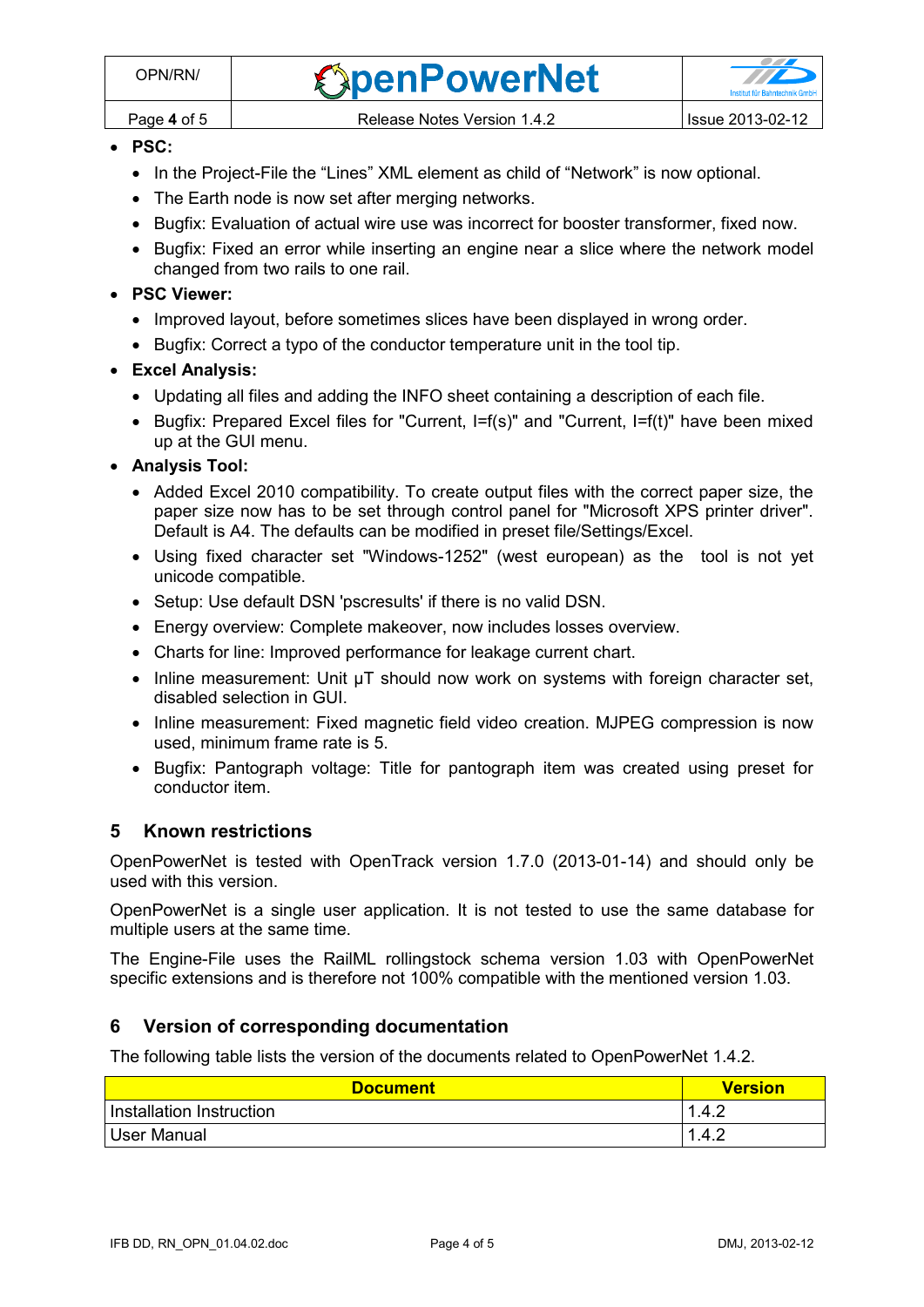- **PSC:**
	- In the Project-File the "Lines" XML element as child of "Network" is now optional.
	- The Earth node is now set after merging networks.
	- Bugfix: Evaluation of actual wire use was incorrect for booster transformer, fixed now.
	- Bugfix: Fixed an error while inserting an engine near a slice where the network model changed from two rails to one rail.

#### **PSC Viewer:**

- Improved layout, before sometimes slices have been displayed in wrong order.
- Bugfix: Correct a typo of the conductor temperature unit in the tool tip.

## **Excel Analysis:**

- Updating all files and adding the INFO sheet containing a description of each file.
- Bugfix: Prepared Excel files for "Current, I=f(s)" and "Current, I=f(t)" have been mixed up at the GUI menu.
- **Analysis Tool:**
	- Added Excel 2010 compatibility. To create output files with the correct paper size, the paper size now has to be set through control panel for "Microsoft XPS printer driver". Default is A4. The defaults can be modified in preset file/Settings/Excel.
	- Using fixed character set "Windows-1252" (west european) as the tool is not yet unicode compatible.
	- Setup: Use default DSN 'pscresults' if there is no valid DSN.
	- Energy overview: Complete makeover, now includes losses overview.
	- Charts for line: Improved performance for leakage current chart.
	- $\bullet$  Inline measurement: Unit  $\mu T$  should now work on systems with foreign character set, disabled selection in GUI.
	- Inline measurement: Fixed magnetic field video creation. MJPEG compression is now used, minimum frame rate is 5.
	- Bugfix: Pantograph voltage: Title for pantograph item was created using preset for conductor item.

## **5 Known restrictions**

OpenPowerNet is tested with OpenTrack version 1.7.0 (2013-01-14) and should only be used with this version.

OpenPowerNet is a single user application. It is not tested to use the same database for multiple users at the same time.

The Engine-File uses the RailML rollingstock schema version 1.03 with OpenPowerNet specific extensions and is therefore not 100% compatible with the mentioned version 1.03.

## **6 Version of corresponding documentation**

The following table lists the version of the documents related to OpenPowerNet 1.4.2.

| <b>Document</b>          | <b>Version</b> |
|--------------------------|----------------|
| Installation Instruction | 1.4.2          |
| User Manual              | .4.2           |